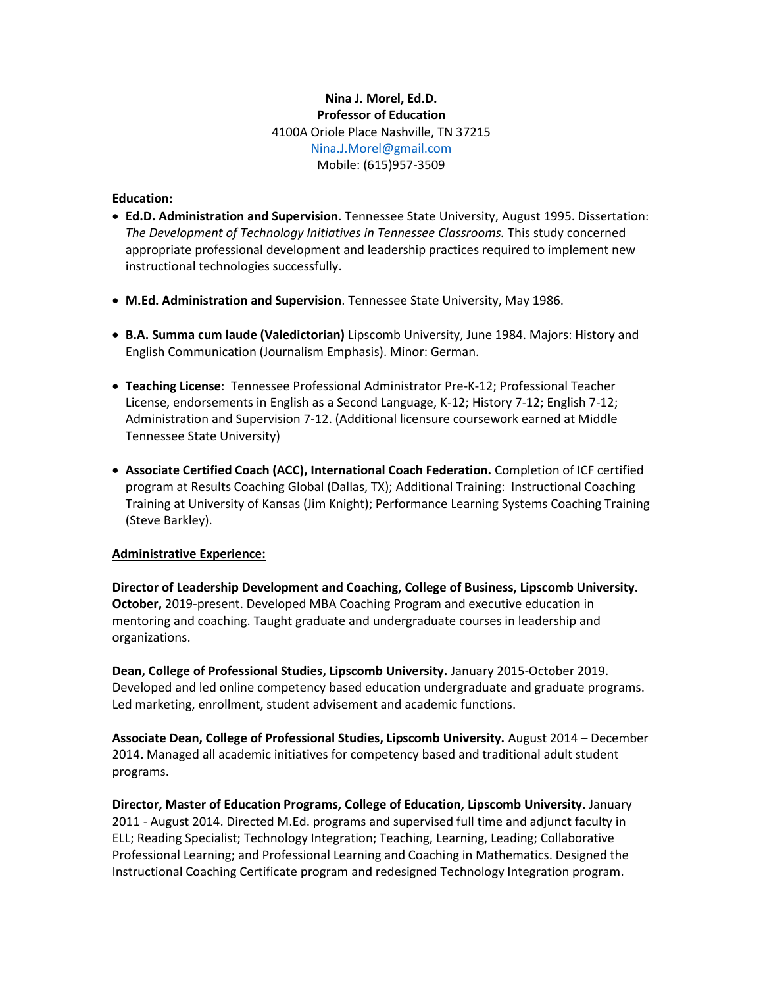# **Nina J. Morel, Ed.D. Professor of Education** 4100A Oriole Place Nashville, TN 37215 [Nina.J.Morel@gmail.com](mailto:Nina.J.Morel@gmail.com) Mobile: (615)957-3509

#### **Education:**

- **Ed.D. Administration and Supervision**. Tennessee State University, August 1995. Dissertation: *The Development of Technology Initiatives in Tennessee Classrooms.* This study concerned appropriate professional development and leadership practices required to implement new instructional technologies successfully.
- **M.Ed. Administration and Supervision**. Tennessee State University, May 1986.
- **B.A. Summa cum laude (Valedictorian)** Lipscomb University, June 1984. Majors: History and English Communication (Journalism Emphasis). Minor: German.
- **Teaching License**: Tennessee Professional Administrator Pre-K-12; Professional Teacher License, endorsements in English as a Second Language, K-12; History 7-12; English 7-12; Administration and Supervision 7-12. (Additional licensure coursework earned at Middle Tennessee State University)
- **Associate Certified Coach (ACC), International Coach Federation.** Completion of ICF certified program at Results Coaching Global (Dallas, TX); Additional Training: Instructional Coaching Training at University of Kansas (Jim Knight); Performance Learning Systems Coaching Training (Steve Barkley).

#### **Administrative Experience:**

**Director of Leadership Development and Coaching, College of Business, Lipscomb University. October,** 2019-present. Developed MBA Coaching Program and executive education in mentoring and coaching. Taught graduate and undergraduate courses in leadership and organizations.

**Dean, College of Professional Studies, Lipscomb University.** January 2015-October 2019. Developed and led online competency based education undergraduate and graduate programs. Led marketing, enrollment, student advisement and academic functions.

**Associate Dean, College of Professional Studies, Lipscomb University.** August 2014 – December 2014**.** Managed all academic initiatives for competency based and traditional adult student programs.

**Director, Master of Education Programs, College of Education, Lipscomb University.** January 2011 - August 2014. Directed M.Ed. programs and supervised full time and adjunct faculty in ELL; Reading Specialist; Technology Integration; Teaching, Learning, Leading; Collaborative Professional Learning; and Professional Learning and Coaching in Mathematics. Designed the Instructional Coaching Certificate program and redesigned Technology Integration program.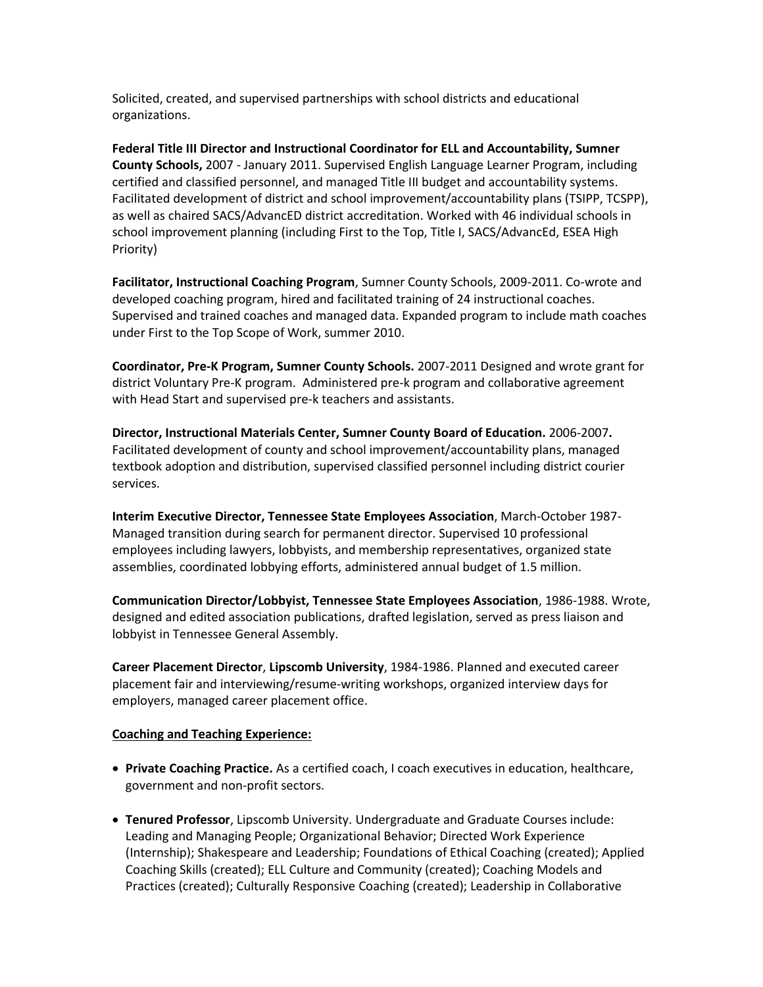Solicited, created, and supervised partnerships with school districts and educational organizations.

**Federal Title III Director and Instructional Coordinator for ELL and Accountability, Sumner County Schools,** 2007 - January 2011. Supervised English Language Learner Program, including certified and classified personnel, and managed Title III budget and accountability systems. Facilitated development of district and school improvement/accountability plans (TSIPP, TCSPP), as well as chaired SACS/AdvancED district accreditation. Worked with 46 individual schools in school improvement planning (including First to the Top, Title I, SACS/AdvancEd, ESEA High Priority)

**Facilitator, Instructional Coaching Program**, Sumner County Schools, 2009-2011. Co-wrote and developed coaching program, hired and facilitated training of 24 instructional coaches. Supervised and trained coaches and managed data. Expanded program to include math coaches under First to the Top Scope of Work, summer 2010.

**Coordinator, Pre-K Program, Sumner County Schools.** 2007-2011 Designed and wrote grant for district Voluntary Pre-K program. Administered pre-k program and collaborative agreement with Head Start and supervised pre-k teachers and assistants.

**Director, Instructional Materials Center, Sumner County Board of Education.** 2006-2007**.** Facilitated development of county and school improvement/accountability plans, managed textbook adoption and distribution, supervised classified personnel including district courier services.

**Interim Executive Director, Tennessee State Employees Association**, March-October 1987- Managed transition during search for permanent director. Supervised 10 professional employees including lawyers, lobbyists, and membership representatives, organized state assemblies, coordinated lobbying efforts, administered annual budget of 1.5 million.

**Communication Director/Lobbyist, Tennessee State Employees Association**, 1986-1988. Wrote, designed and edited association publications, drafted legislation, served as press liaison and lobbyist in Tennessee General Assembly.

**Career Placement Director**, **Lipscomb University**, 1984-1986. Planned and executed career placement fair and interviewing/resume-writing workshops, organized interview days for employers, managed career placement office.

#### **Coaching and Teaching Experience:**

- **Private Coaching Practice.** As a certified coach, I coach executives in education, healthcare, government and non-profit sectors.
- **Tenured Professor**, Lipscomb University. Undergraduate and Graduate Courses include: Leading and Managing People; Organizational Behavior; Directed Work Experience (Internship); Shakespeare and Leadership; Foundations of Ethical Coaching (created); Applied Coaching Skills (created); ELL Culture and Community (created); Coaching Models and Practices (created); Culturally Responsive Coaching (created); Leadership in Collaborative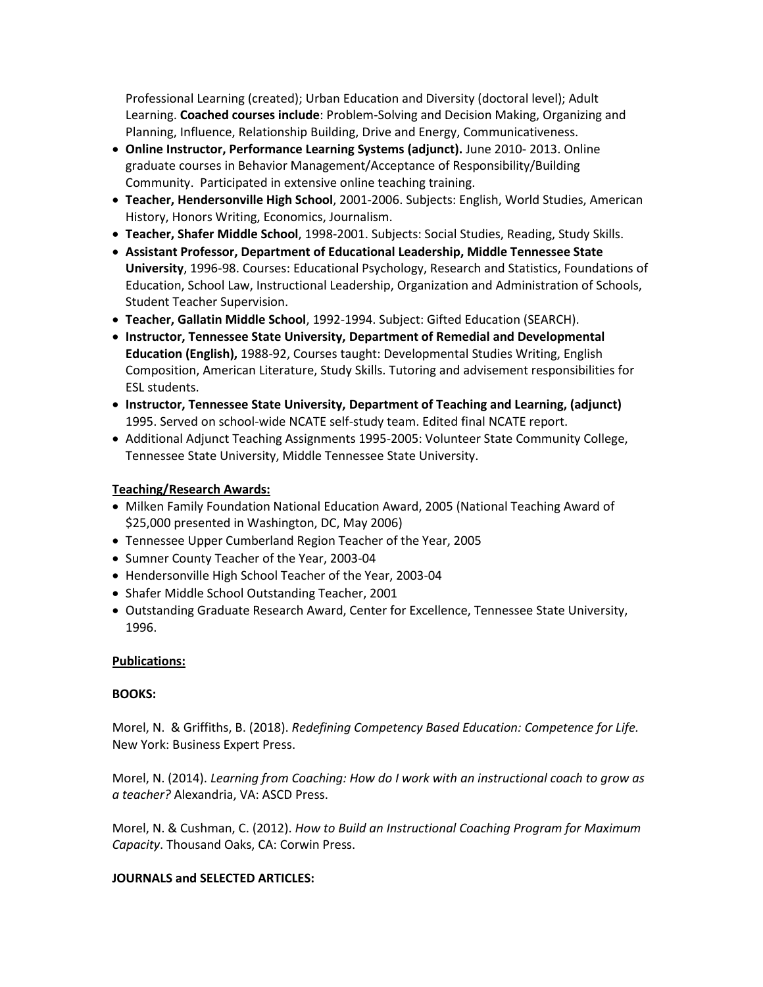Professional Learning (created); Urban Education and Diversity (doctoral level); Adult Learning. **Coached courses include**: Problem-Solving and Decision Making, Organizing and Planning, Influence, Relationship Building, Drive and Energy, Communicativeness.

- **Online Instructor, Performance Learning Systems (adjunct).** June 2010- 2013. Online graduate courses in Behavior Management/Acceptance of Responsibility/Building Community. Participated in extensive online teaching training.
- **Teacher, Hendersonville High School**, 2001-2006. Subjects: English, World Studies, American History, Honors Writing, Economics, Journalism.
- **Teacher, Shafer Middle School**, 1998-2001. Subjects: Social Studies, Reading, Study Skills.
- **Assistant Professor, Department of Educational Leadership, Middle Tennessee State University**, 1996-98. Courses: Educational Psychology, Research and Statistics, Foundations of Education, School Law, Instructional Leadership, Organization and Administration of Schools, Student Teacher Supervision.
- **Teacher, Gallatin Middle School**, 1992-1994. Subject: Gifted Education (SEARCH).
- **Instructor, Tennessee State University, Department of Remedial and Developmental Education (English),** 1988-92, Courses taught: Developmental Studies Writing, English Composition, American Literature, Study Skills. Tutoring and advisement responsibilities for ESL students.
- **Instructor, Tennessee State University, Department of Teaching and Learning, (adjunct)** 1995. Served on school-wide NCATE self-study team. Edited final NCATE report.
- Additional Adjunct Teaching Assignments 1995-2005: Volunteer State Community College, Tennessee State University, Middle Tennessee State University.

## **Teaching/Research Awards:**

- Milken Family Foundation National Education Award, 2005 (National Teaching Award of \$25,000 presented in Washington, DC, May 2006)
- Tennessee Upper Cumberland Region Teacher of the Year, 2005
- Sumner County Teacher of the Year, 2003-04
- Hendersonville High School Teacher of the Year, 2003-04
- Shafer Middle School Outstanding Teacher, 2001
- Outstanding Graduate Research Award, Center for Excellence, Tennessee State University, 1996.

#### **Publications:**

#### **BOOKS:**

Morel, N. & Griffiths, B. (2018). *Redefining Competency Based Education: Competence for Life.* New York: Business Expert Press.

Morel, N. (2014). *Learning from Coaching: How do I work with an instructional coach to grow as a teacher?* Alexandria, VA: ASCD Press.

Morel, N. & Cushman, C. (2012). *How to Build an Instructional Coaching Program for Maximum Capacity*. Thousand Oaks, CA: Corwin Press.

#### **JOURNALS and SELECTED ARTICLES:**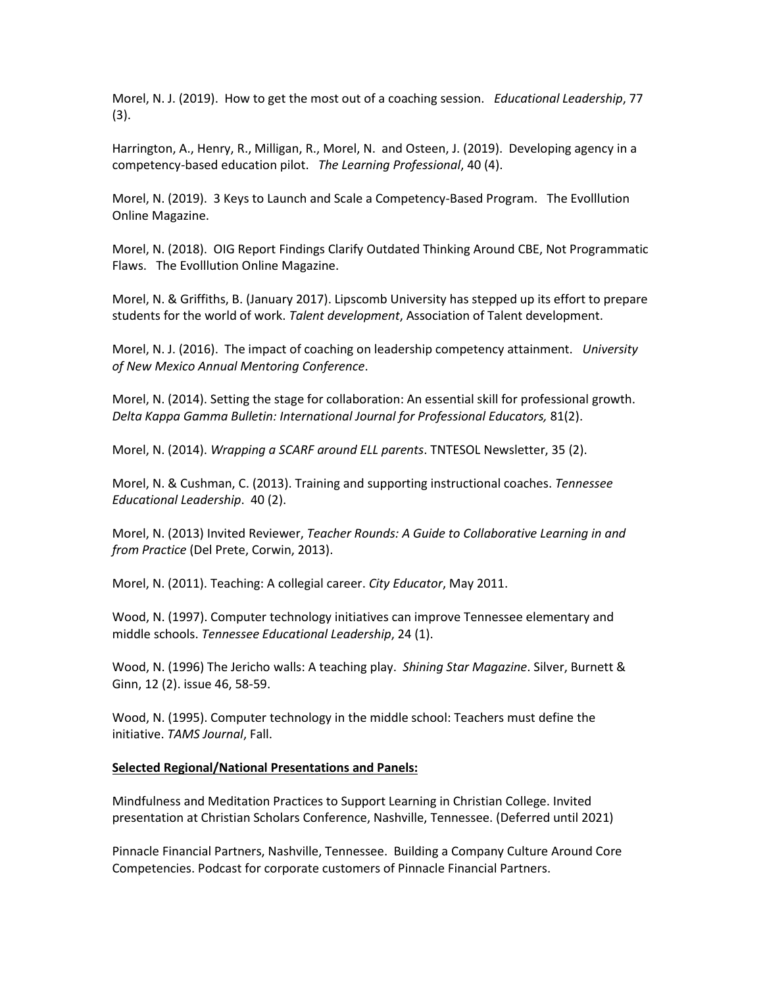Morel, N. J. (2019). How to get the most out of a coaching session. *Educational Leadership*, 77 (3).

Harrington, A., Henry, R., Milligan, R., Morel, N. and Osteen, J. (2019). Developing agency in a competency-based education pilot. *The Learning Professional*, 40 (4).

Morel, N. (2019). 3 Keys to Launch and Scale a Competency-Based Program. The Evolllution Online Magazine.

Morel, N. (2018). OIG Report Findings Clarify Outdated Thinking Around CBE, Not Programmatic Flaws. The Evolllution Online Magazine.

Morel, N. & Griffiths, B. (January 2017). Lipscomb University has stepped up its effort to prepare students for the world of work. *Talent development*, Association of Talent development.

Morel, N. J. (2016). [The impact of coaching on leadership competency attainment.](https://sedonaweb.com/code/getFile.cfm?encrypt=633412150216045B0A2F3D090E0F0643382C2A3405140F01155B18382107020B5A081B1A61675559565B081B1A34) *University of New Mexico Annual Mentoring Conference*.

Morel, N. (2014). Setting the stage for collaboration: An essential skill for professional growth. *Delta Kappa Gamma Bulletin: International Journal for Professional Educators,* 81(2).

Morel, N. (2014). *Wrapping a SCARF around ELL parents*. TNTESOL Newsletter, 35 (2).

Morel, N. & Cushman, C. (2013). Training and supporting instructional coaches. *Tennessee Educational Leadership*. 40 (2).

Morel, N. (2013) Invited Reviewer, *Teacher Rounds: A Guide to Collaborative Learning in and from Practice* (Del Prete, Corwin, 2013).

Morel, N. (2011). Teaching: A collegial career. *City Educator*, May 2011.

Wood, N. (1997). Computer technology initiatives can improve Tennessee elementary and middle schools. *Tennessee Educational Leadership*, 24 (1).

Wood, N. (1996) The Jericho walls: A teaching play. *Shining Star Magazine*. Silver, Burnett & Ginn, 12 (2). issue 46, 58-59.

Wood, N. (1995). Computer technology in the middle school: Teachers must define the initiative. *TAMS Journal*, Fall.

#### **Selected Regional/National Presentations and Panels:**

Mindfulness and Meditation Practices to Support Learning in Christian College. Invited presentation at Christian Scholars Conference, Nashville, Tennessee. (Deferred until 2021)

Pinnacle Financial Partners, Nashville, Tennessee. Building a Company Culture Around Core Competencies. Podcast for corporate customers of Pinnacle Financial Partners.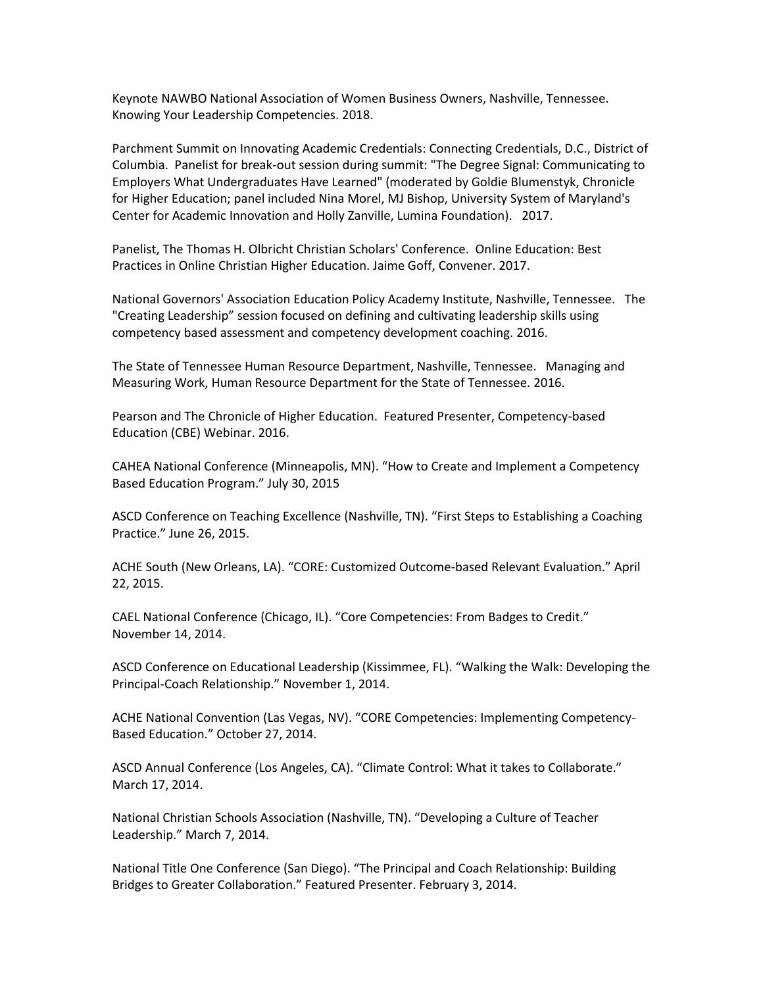Keynote NAWBO National Association of Women Business Owners, Nashville, Tennessee. Knowing Your Leadership Competencies. 2018.

Parchment Summit on Innovating Academic Credentials: Connecting Credentials, D.C., District of Columbia. Panelist for break-out session during summit: "The Degree Signal: Communicating to Employers What Undergraduates Have Learned" (moderated by Goldie Blumenstyk, Chronicle for Higher Education; panel included Nina Morel, MJ Bishop, University System of Maryland's Center for Academic Innovation and Holly Zanville, Lumina Foundation). 2017.

Panelist, The Thomas H. Olbricht Christian Scholars' Conference. Online Education: Best Practices in Online Christian Higher Education. Jaime Goff, Convener. 2017.

National Governors' Association Education Policy Academy Institute, Nashville, Tennessee. The "Creating Leadership" session focused on defining and cultivating leadership skills using competency based assessment and competency development coaching. 2016.

The State of Tennessee Human Resource Department, Nashville, Tennessee. Managing and Measuring Work, Human Resource Department for the State of Tennessee. 2016.

Pearson and The Chronicle of Higher Education. Featured Presenter, Competency-based Education (CBE) Webinar. 2016.

CAHEA National Conference (Minneapolis, MN). "How to Create and Implement a Competency Based Education Program." July 30, 2015

ASCD Conference on Teaching Excellence (Nashville, TN). "First Steps to Establishing a Coaching Practice." June 26, 2015.

ACHE South (New Orleans, LA). "CORE: Customized Outcome-based Relevant Evaluation." April 22, 2015.

CAEL National Conference (Chicago, IL). "Core Competencies: From Badges to Credit." November 14, 2014.

ASCD Conference on Educational Leadership (Kissimmee, FL). "Walking the Walk: Developing the Principal-Coach Relationship." November 1, 2014.

ACHE National Convention (Las Vegas, NV). "CORE Competencies: Implementing Competency-Based Education." October 27, 2014.

ASCD Annual Conference (Los Angeles, CA). "Climate Control: What it takes to Collaborate." March 17, 2014.

National Christian Schools Association (Nashville, TN). "Developing a Culture of Teacher Leadership." March 7, 2014.

National Title One Conference (San Diego). "The Principal and Coach Relationship: Building Bridges to Greater Collaboration." Featured Presenter. February 3, 2014.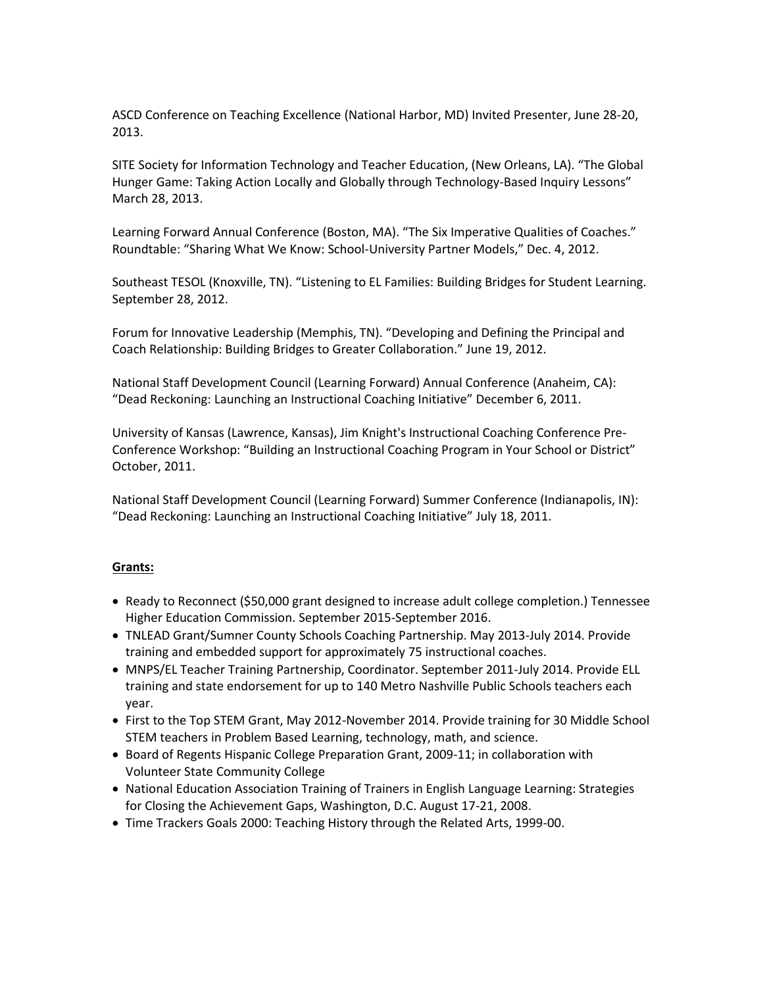ASCD Conference on Teaching Excellence (National Harbor, MD) Invited Presenter, June 28-20, 2013.

SITE Society for Information Technology and Teacher Education, (New Orleans, LA). "The Global Hunger Game: Taking Action Locally and Globally through Technology-Based Inquiry Lessons" March 28, 2013.

Learning Forward Annual Conference (Boston, MA). "The Six Imperative Qualities of Coaches." Roundtable: "Sharing What We Know: School-University Partner Models," Dec. 4, 2012.

Southeast TESOL (Knoxville, TN). "Listening to EL Families: Building Bridges for Student Learning. September 28, 2012.

Forum for Innovative Leadership (Memphis, TN). "Developing and Defining the Principal and Coach Relationship: Building Bridges to Greater Collaboration." June 19, 2012.

National Staff Development Council (Learning Forward) Annual Conference (Anaheim, CA): "Dead Reckoning: Launching an Instructional Coaching Initiative" December 6, 2011.

University of Kansas (Lawrence, Kansas), Jim Knight's Instructional Coaching Conference Pre-Conference Workshop: "Building an Instructional Coaching Program in Your School or District" October, 2011.

National Staff Development Council (Learning Forward) Summer Conference (Indianapolis, IN): "Dead Reckoning: Launching an Instructional Coaching Initiative" July 18, 2011.

#### **Grants:**

- Ready to Reconnect (\$50,000 grant designed to increase adult college completion.) Tennessee Higher Education Commission. September 2015-September 2016.
- TNLEAD Grant/Sumner County Schools Coaching Partnership. May 2013-July 2014. Provide training and embedded support for approximately 75 instructional coaches.
- MNPS/EL Teacher Training Partnership, Coordinator. September 2011-July 2014. Provide ELL training and state endorsement for up to 140 Metro Nashville Public Schools teachers each year.
- First to the Top STEM Grant, May 2012-November 2014. Provide training for 30 Middle School STEM teachers in Problem Based Learning, technology, math, and science.
- **Board of Regents Hispanic College Preparation Grant, 2009-11; in collaboration with** Volunteer State Community College
- National Education Association Training of Trainers in English Language Learning: Strategies for Closing the Achievement Gaps, Washington, D.C. August 17-21, 2008.
- Time Trackers Goals 2000: Teaching History through the Related Arts, 1999-00.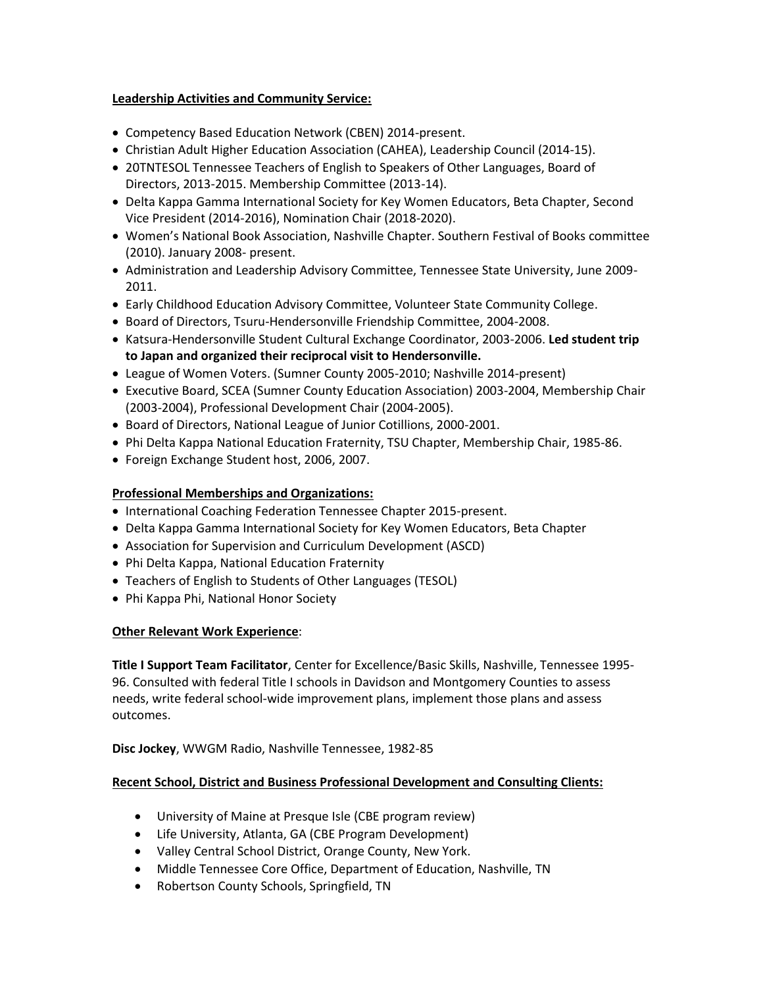## **Leadership Activities and Community Service:**

- Competency Based Education Network (CBEN) 2014-present.
- Christian Adult Higher Education Association (CAHEA), Leadership Council (2014-15).
- 20TNTESOL Tennessee Teachers of English to Speakers of Other Languages, Board of Directors, 2013-2015. Membership Committee (2013-14).
- Delta Kappa Gamma International Society for Key Women Educators, Beta Chapter, Second Vice President (2014-2016), Nomination Chair (2018-2020).
- Women's National Book Association, Nashville Chapter. Southern Festival of Books committee (2010). January 2008- present.
- Administration and Leadership Advisory Committee, Tennessee State University, June 2009- 2011.
- Early Childhood Education Advisory Committee, Volunteer State Community College.
- **Board of Directors, Tsuru-Hendersonville Friendship Committee, 2004-2008.**
- **Katsura-Hendersonville Student Cultural Exchange Coordinator, 2003-2006. Led student trip to Japan and organized their reciprocal visit to Hendersonville.**
- League of Women Voters. (Sumner County 2005-2010; Nashville 2014-present)
- Executive Board, SCEA (Sumner County Education Association) 2003-2004, Membership Chair (2003-2004), Professional Development Chair (2004-2005).
- Board of Directors, National League of Junior Cotillions, 2000-2001.
- Phi Delta Kappa National Education Fraternity, TSU Chapter, Membership Chair, 1985-86.
- Foreign Exchange Student host, 2006, 2007.

### **Professional Memberships and Organizations:**

- International Coaching Federation Tennessee Chapter 2015-present.
- Delta Kappa Gamma International Society for Key Women Educators, Beta Chapter
- Association for Supervision and Curriculum Development (ASCD)
- Phi Delta Kappa, National Education Fraternity
- Teachers of English to Students of Other Languages (TESOL)
- Phi Kappa Phi, National Honor Society

#### **Other Relevant Work Experience**:

**Title I Support Team Facilitator**, Center for Excellence/Basic Skills, Nashville, Tennessee 1995- 96. Consulted with federal Title I schools in Davidson and Montgomery Counties to assess needs, write federal school-wide improvement plans, implement those plans and assess outcomes.

**Disc Jockey**, WWGM Radio, Nashville Tennessee, 1982-85

#### **Recent School, District and Business Professional Development and Consulting Clients:**

- University of Maine at Presque Isle (CBE program review)
- Life University, Atlanta, GA (CBE Program Development)
- Valley Central School District, Orange County, New York.
- Middle Tennessee Core Office, Department of Education, Nashville, TN
- Robertson County Schools, Springfield, TN